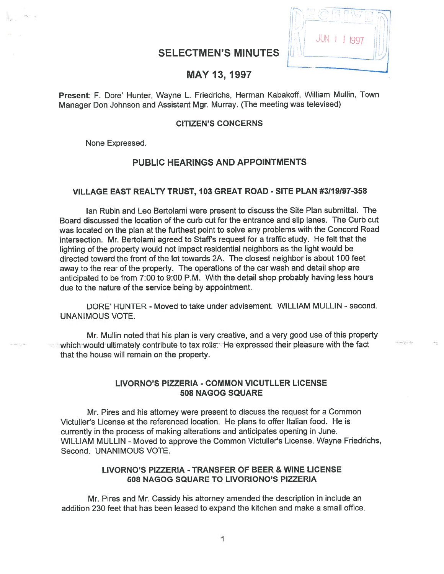# SELECTMEN'S MINUTES



# MAY 13, 1997

Present: F. Dore' Hunter, Wayne L. Friedrichs, Herman Kabakoff, William Mullin, Town Manager Don Johnson and Assistant Mgr. Murray. (The meeting was televised)

#### CITIZEN'S CONCERNS

None Expressed.

# PUBLIC HEARINGS AND APPOINTMENTS

# VILLAGE EAST REALTY TRUST, 103 GREAT ROAD - SITE PLAN #3119197-358

Ian Rubin and Leo Bertolami were presen<sup>t</sup> to discuss the Site Plan submittal. The Board discussed the location of the curb cut for the entrance and slip lanes. The Curb cut was located on the <sup>p</sup>lan at the furthest point to solve any problems with the Concord Road intersection. Mr. Bertolami agreed to Staff's request for a traffic study. He felt that the lighting of the property would not impact residential neighbors as the light would be directed toward the front of the lot towards 2A. The closest neighbor is about 100 feet away to the rear of the property. The operations of the car wash and detail shop are anticipated to be from 7:00 to 9:00 P.M. With the detail shop probably having less hours due to the nature of the service being by appointment.

DORE' HUNTER - Moved to take under advisement. WILLIAM MULLIN - second. UNANIMOUS VOTE.

Mr. MulIin noted that his plan is very creative, and <sup>a</sup> very good use of this property which would ultimately contribute to tax rolls. He expressed their pleasure with the fact that the house will remain on the property.

#### LIVORNO'S PIZZERIA -COMMON VICUTLLER LICENSE 508 NAGOG SQUARE

Mr. Pires and his attorney were presen<sup>t</sup> to discuss the reques<sup>t</sup> for <sup>a</sup> Common Victuller's License at the referenced location. He plans to offer Italian food. He is currently in the process of making alterations and anticipates opening in June. WILLIAM MULLIN - Moved to approve the Common Victuller's License. Wayne Friedrichs, Second. UNANIMOUS VOTE.

# LIVORNO'S PIZZERIA - TRANSFER OF BEER & WINE LICENSE 508 NAGOG SQUARE TO LIVORIONO'S PIZZERIA

Mr. Pires and Mr. Cassidy his attorney amended the description in include an addition 230 feet that has been leased to expand the kitchen and make <sup>a</sup> small office.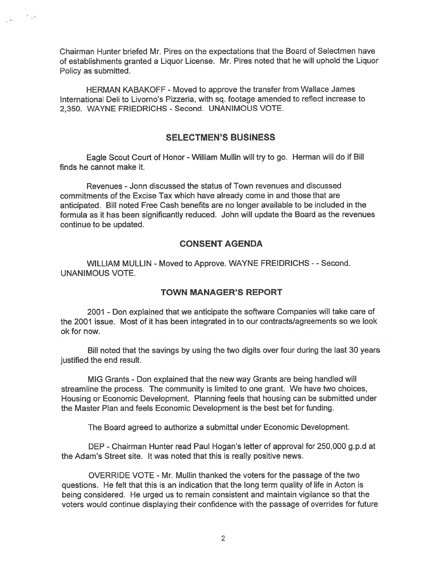Chairman Hunter briefed Mr. Pires on the expectations that the Board of Selectmen have of establishments granted <sup>a</sup> Liquor License. Mr. Pires noted that he will uphold the Liquor Policy as submitted.

 $e^{-i\theta_{\rm eff}}$ 

HERMAN KABAKOFF - Moved to approve the transfer from Wallace James International Deli to Livorno's Pizzeria, with sq. footage amended to reflect increase to 2,350. WAYNE FRIEDRICHS -Second. UNANIMOUS VOTE.

# SELECTMEN'S BUSINESS

Eagle Scout Court of Honor -William Mullin will try to go. Herman will do if Bill finds he cannot make it.

Revenues -Jonn discussed the status of Town revenues and discussed commitments of the Excise Tax which have already come in and those that are anticipated. Bill noted Free Cash benefits are no longer available to be included in the formula as it has been significantly reduced. John will update the Board as the revenues continue to be updated.

### CONSENT AGENDA

WILLIAM MULLIN - Moved to Approve. WAYNE FREIDRICHS - - Second. UNANIMOUS VOTE.

#### TOWN MANAGER'S REPORT

2001 - Don explained that we anticipate the software Companies will take care of the 2001 issue. Most of it has been integrated in to our contracts/agreements so we look ok for now.

Bill noted that the savings by using the two digits over four during the last 30 years justified the end result.

MIG Grants - Don explained that the new way Grants are being handled will streamline the process. The community is limited to one grant. We have two choices, Housing or Economic Development. Planning feels that housing can be submitted under the Master Plan and feels Economic Development is the best bet for funding.

The Board agreed to authorize <sup>a</sup> submittal under Economic Development.

DEP -Chairman Hunter read Paul Hogan's letter of approval for 250,000 g.p.d at the Adam's Street site. It was noted that this is really positive news.

OVERRIDE VOTE - Mr. Mullin thanked the voters for the passage of the two questions. He felt that this is an indication that the long term quality of life in Acton is being considered. He urged us to remain consistent and maintain vigilance so that the voters would continue displaying their confidence with the passage of overrides for future